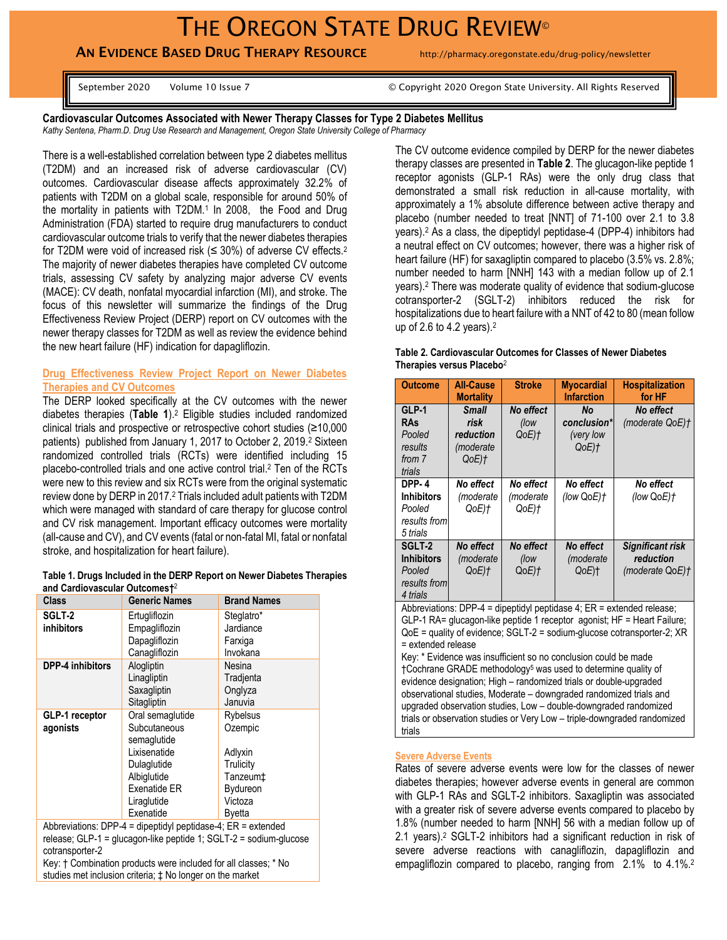## THE OREGON STATE DRUG REVIEW®

## AN EVIDENCE BASED DRUG THERAPY RESOURCE http://pharmacy.oregonstate.edu/drug-policy/newsletter

September 2020 Volume 10 Issue 7 © Copyright 2020 Oregon State University. All Rights Reserved

**Cardiovascular Outcomes Associated with Newer Therapy Classes for Type 2 Diabetes Mellitus** *Kathy Sentena, Pharm.D. Drug Use Research and Management, Oregon State University College of Pharmacy*

There is a well-established correlation between type 2 diabetes mellitus (T2DM) and an increased risk of adverse cardiovascular (CV) outcomes. Cardiovascular disease affects approximately 32.2% of patients with T2DM on a global scale, responsible for around 50% of the mortality in patients with T2DM.<sup>1</sup> In 2008, the Food and Drug Administration (FDA) started to require drug manufacturers to conduct cardiovascular outcome trials to verify that the newer diabetes therapies for T2DM were void of increased risk ( $\leq$  30%) of adverse CV effects.<sup>2</sup> The majority of newer diabetes therapies have completed CV outcome trials, assessing CV safety by analyzing major adverse CV events (MACE): CV death, nonfatal myocardial infarction (MI), and stroke. The focus of this newsletter will summarize the findings of the Drug Effectiveness Review Project (DERP) report on CV outcomes with the newer therapy classes for T2DM as well as review the evidence behind the new heart failure (HF) indication for dapagliflozin.

#### **Drug Effectiveness Review Project Report on Newer Diabetes Therapies and CV Outcomes**

The DERP looked specifically at the CV outcomes with the newer diabetes therapies (**Table 1**).<sup>2</sup> Eligible studies included randomized clinical trials and prospective or retrospective cohort studies (≥10,000 patients) published from January 1, 2017 to October 2, 2019.<sup>2</sup> Sixteen randomized controlled trials (RCTs) were identified including 15 placebo-controlled trials and one active control trial. <sup>2</sup> Ten of the RCTs were new to this review and six RCTs were from the original systematic review done by DERP in 2017.<sup>2</sup> Trials included adult patients with T2DM which were managed with standard of care therapy for glucose control and CV risk management. Important efficacy outcomes were mortality (all-cause and CV), and CV events (fatal or non-fatal MI, fatal or nonfatal stroke, and hospitalization for heart failure).

| Table 1. Drugs Included in the DERP Report on Newer Diabetes Therapies |  |  |
|------------------------------------------------------------------------|--|--|
| and Cardiovascular Outcomest <sup>2</sup>                              |  |  |

| <b>Class</b>                | <b>Generic Names</b>                                                                                                                      | <b>Brand Names</b>                                                                                                  |
|-----------------------------|-------------------------------------------------------------------------------------------------------------------------------------------|---------------------------------------------------------------------------------------------------------------------|
| SGLT-2<br><b>inhibitors</b> | Ertugliflozin<br>Empagliflozin<br>Dapagliflozin<br>Canagliflozin                                                                          | Steglatro*<br>Jardiance<br>Farxiga<br>Invokana                                                                      |
| <b>DPP-4 inhibitors</b>     | Alogliptin<br>Linagliptin<br>Saxagliptin<br>Sitagliptin                                                                                   | Nesina<br>Tradienta<br>Onglyza<br>Januvia                                                                           |
| GLP-1 receptor<br>agonists  | Oral semaglutide<br>Subcutaneous<br>semaglutide<br>Lixisenatide<br>Dulaglutide<br>Albiglutide<br>Exenatide ER<br>Liraglutide<br>Exenatide | <b>Rybelsus</b><br>Ozempic<br>Adlyxin<br>Trulicity<br>Tanzeum <sup>+</sup><br>Bydureon<br>Victoza<br><b>B</b> yetta |

Abbreviations: DPP-4 = dipeptidyl peptidase-4; ER = extended release; GLP-1 = glucagon-like peptide 1; SGLT-2 = sodium-glucose cotransporter-2

Key: † Combination products were included for all classes; \* No studies met inclusion criteria; ‡ No longer on the market

The CV outcome evidence compiled by DERP for the newer diabetes therapy classes are presented in **Table 2**. The glucagon-like peptide 1 receptor agonists (GLP-1 RAs) were the only drug class that demonstrated a small risk reduction in all-cause mortality, with approximately a 1% absolute difference between active therapy and placebo (number needed to treat [NNT] of 71-100 over 2.1 to 3.8 years).<sup>2</sup> As a class, the dipeptidyl peptidase-4 (DPP-4) inhibitors had a neutral effect on CV outcomes; however, there was a higher risk of heart failure (HF) for saxagliptin compared to placebo (3.5% vs. 2.8%; number needed to harm [NNH] 143 with a median follow up of 2.1 years).<sup>2</sup> There was moderate quality of evidence that sodium-glucose cotransporter-2 (SGLT-2) inhibitors reduced the risk for hospitalizations due to heart failure with a NNT of 42 to 80 (mean follow up of 2.6 to 4.2 years).<sup>2</sup>

| Table 2. Cardiovascular Outcomes for Classes of Newer Diabetes |  |  |
|----------------------------------------------------------------|--|--|
| Therapies versus Placebo <sup>2</sup>                          |  |  |

| <b>Outcome</b>                                                          | <b>All-Cause</b><br><b>Mortality</b>                            | <b>Stroke</b>                    | <b>Myocardial</b><br><b>Infarction</b>               | <b>Hospitalization</b><br>for HF                 |
|-------------------------------------------------------------------------|-----------------------------------------------------------------|----------------------------------|------------------------------------------------------|--------------------------------------------------|
| GLP-1<br>RAs<br>Pooled<br>results<br>from 7<br>trials                   | <b>Small</b><br>risk<br>reduction<br><i>(moderate)</i><br>QoE)† | No effect<br>(low<br>QoE)†       | No<br>conclusion*<br>(very low<br>$QoE$ ) $\uparrow$ | No effect<br>(moderate QoE)t                     |
| <b>DPP-4</b><br><b>Inhibitors</b><br>Pooled<br>results from<br>5 trials | No effect<br>(moderate<br>QoE)t                                 | No effect<br>(moderate<br>QoE)†  | No effect<br>(low QoE)†                              | No effect<br>(low $QoE$ ) $\dagger$              |
| SGLT-2<br><b>Inhibitors</b><br>Pooled<br>results from<br>4 trials       | No effect<br>(moderate<br>QoE)†                                 | No effect<br>(low<br>$QoE$ ) $t$ | No effect<br>(moderate<br>QoE)t                      | Significant risk<br>reduction<br>(moderate QoE)t |

Abbreviations: DPP-4 = dipeptidyl peptidase 4;  $ER$  = extended release; GLP-1 RA= glucagon-like peptide 1 receptor agonist; HF = Heart Failure; QoE = quality of evidence; SGLT-2 = sodium-glucose cotransporter-2; XR = extended release

Key: \* Evidence was insufficient so no conclusion could be made †Cochrane GRADE methodology<sup>5</sup> was used to determine quality of evidence designation; High – randomized trials or double-upgraded observational studies, Moderate – downgraded randomized trials and upgraded observation studies, Low – double-downgraded randomized trials or observation studies or Very Low – triple-downgraded randomized trials

#### **Severe Adverse Events**

Rates of severe adverse events were low for the classes of newer diabetes therapies; however adverse events in general are common with GLP-1 RAs and SGLT-2 inhibitors. Saxagliptin was associated with a greater risk of severe adverse events compared to placebo by 1.8% (number needed to harm [NNH] 56 with a median follow up of 2.1 years).<sup>2</sup> SGLT-2 inhibitors had a significant reduction in risk of severe adverse reactions with canagliflozin, dapagliflozin and empagliflozin compared to placebo, ranging from 2.1% to 4.1%.<sup>2</sup>